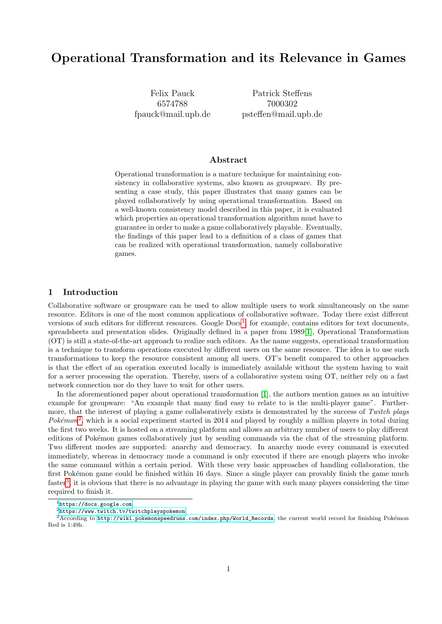# Operational Transformation and its Relevance in Games

Felix Pauck 6574788 fpauck@mail.upb.de

Patrick Steffens 7000302 psteffen@mail.upb.de

# Abstract

Operational transformation is a mature technique for maintaining consistency in collaborative systems, also known as groupware. By presenting a case study, this paper illustrates that many games can be played collaboratively by using operational transformation. Based on a well-known consistency model described in this paper, it is evaluated which properties an operational transformation algorithm must have to guarantee in order to make a game collaboratively playable. Eventually, the findings of this paper lead to a definition of a class of games that can be realized with operational transformation, namely collaborative games.

## <span id="page-0-3"></span>1 Introduction

Collaborative software or groupware can be used to allow multiple users to work simultaneously on the same resource. Editors is one of the most common applications of collaborative software. Today there exist different versions of such editors for different resources. Google  $Docs<sup>1</sup>$  $Docs<sup>1</sup>$  $Docs<sup>1</sup>$ , for example, contains editors for text documents, spreadsheets and presentation slides. Originally defined in a paper from 1989[\[1\]](#page-12-0), Operational Transformation (OT) is still a state-of-the-art approach to realize such editors. As the name suggests, operational transformation is a technique to transform operations executed by different users on the same resource. The idea is to use such transformations to keep the resource consistent among all users. OT's benefit compared to other approaches is that the effect of an operation executed locally is immediately available without the system having to wait for a server processing the operation. Thereby, users of a collaborative system using OT, neither rely on a fast network connection nor do they have to wait for other users.

In the aforementioned paper about operational transformation [\[1\]](#page-12-0), the authors mention games as an intuitive example for groupware: "An example that many find easy to relate to is the multi-player game". Furthermore, that the interest of playing a game collaboratively exists is demonstrated by the success of Twitch plays Pokémon<sup>[2](#page-0-1)</sup>, which is a social experiment started in 2014 and played by roughly a million players in total during the first two weeks. It is hosted on a streaming platform and allows an arbitrary number of users to play different editions of Pokémon games collaboratively just by sending commands via the chat of the streaming platform. Two different modes are supported: anarchy and democracy. In anarchy mode every command is executed immediately, whereas in democracy mode a command is only executed if there are enough players who invoke the same command within a certain period. With these very basic approaches of handling collaboration, the first Pokémon game could be finished within 16 days. Since a single player can provably finish the game much faster<sup>[3](#page-0-2)</sup>, it is obvious that there is no advantage in playing the game with such many players considering the time required to finish it.

<span id="page-0-0"></span><sup>1</sup><https://docs.google.com>

<span id="page-0-2"></span><span id="page-0-1"></span><sup>2</sup><https://www.twitch.tv/twitchplayspokemon>

 $3$ According to [http://wiki.pokemonspeedruns.com/index.php/World\\_Records](http://wiki.pokemonspeedruns.com/index.php/World_Records), the current world record for finishing Pokémon Red is 1:49h.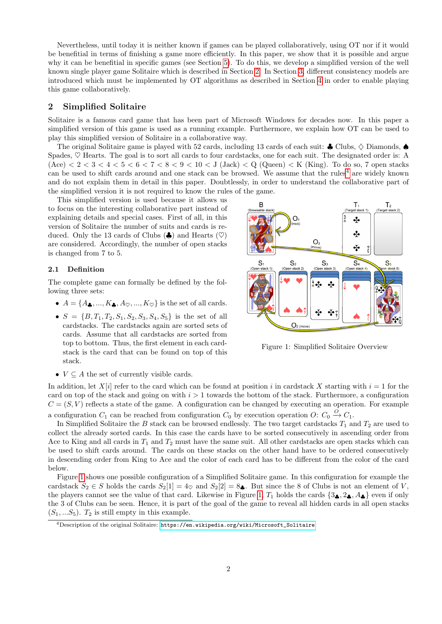Nevertheless, until today it is neither known if games can be played collaboratively, using OT nor if it would be benefitial in terms of finishing a game more efficiently. In this paper, we show that it is possible and argue why it can be benefitial in specific games (see Section [5\)](#page-9-0). To do this, we develop a simplified version of the well known single player game Solitaire which is described in Section [2.](#page-1-0) In Section [3,](#page-2-0) different consistency models are introduced which must be implemented by OT algorithms as described in Section [4](#page-4-0) in order to enable playing this game collaboratively.

## <span id="page-1-0"></span>2 Simplified Solitaire

Solitaire is a famous card game that has been part of Microsoft Windows for decades now. In this paper a simplified version of this game is used as a running example. Furthermore, we explain how OT can be used to play this simplified version of Solitaire in a collaborative way.

The original Solitaire game is played with 52 cards, including 13 cards of each suit:  $\clubsuit$  Clubs,  $\diamond$  Diamonds, Spades,  $\heartsuit$  Hearts. The goal is to sort all cards to four cardstacks, one for each suit. The designated order is: A  $(Acc) < 2 < 3 < 4 < 5 < 6 < 7 < 8 < 9 < 10 < J$  (Jack)  $< Q$  (Queen)  $< K$  (King). To do so, 7 open stacks can be used to shift cards around and one stack can be browsed. We assume that the rules<sup>[4](#page-1-1)</sup> are widely known and do not explain them in detail in this paper. Doubtlessly, in order to understand the collaborative part of the simplified version it is not required to know the rules of the game.

This simplified version is used because it allows us to focus on the interesting collaborative part instead of explaining details and special cases. First of all, in this version of Solitaire the number of suits and cards is reduced. Only the 13 cards of Clubs  $(\clubsuit)$  and Hearts  $(\heartsuit)$ are considered. Accordingly, the number of open stacks is changed from 7 to 5.

#### 2.1 Definition

The complete game can formally be defined by the following three sets:

- $A = \{A_2, ..., K_2, A_{\heartsuit}, ..., K_{\heartsuit}\}\$ is the set of all cards.
- $S = \{B, T_1, T_2, S_1, S_2, S_3, S_4, S_5\}$  is the set of all cardstacks. The cardstacks again are sorted sets of cards. Assume that all cardstacks are sorted from top to bottom. Thus, the first element in each cardstack is the card that can be found on top of this stack.



<span id="page-1-2"></span>Figure 1: Simplified Solitaire Overview

•  $V \subseteq A$  the set of currently visible cards.

In addition, let  $X[i]$  refer to the card which can be found at position i in cardstack X starting with  $i = 1$  for the card on top of the stack and going on with  $i > 1$  towards the bottom of the stack. Furthermore, a configuration  $C = (S, V)$  reflects a state of the game. A configuration can be changed by executing an operation. For example a configuration  $C_1$  can be reached from configuration  $C_0$  by execution operation  $O: C_0 \xrightarrow{O} C_1$ .

In Simplified Solitaire the B stack can be browsed endlessly. The two target cardstacks  $T_1$  and  $T_2$  are used to collect the already sorted cards. In this case the cards have to be sorted consecutively in ascending order from Ace to King and all cards in  $T_1$  and  $T_2$  must have the same suit. All other cardstacks are open stacks which can be used to shift cards around. The cards on these stacks on the other hand have to be ordered consecutively in descending order from King to Ace and the color of each card has to be different from the color of the card below.

Figure [1](#page-1-2) shows one possible configuration of a Simplified Solitaire game. In this configuration for example the cardstack  $S_2 \in S$  holds the cards  $S_2[1] = 4_{\heartsuit}$  and  $S_2[2] = 8_{\clubsuit}$ . But since the 8 of Clubs is not an element of V, the players cannot see the value of that card. Likewise in Figure [1,](#page-1-2)  $T_1$  holds the cards  $\{3, 2, 4, 4\}$  even if only the 3 of Clubs can be seen. Hence, it is part of the goal of the game to reveal all hidden cards in all open stacks  $(S_1, \ldots S_5)$ .  $T_2$  is still empty in this example.

<span id="page-1-1"></span> $4$ Description of the original Solitaire: https://en.wikipedia.org/wiki/Microsoft Solitaire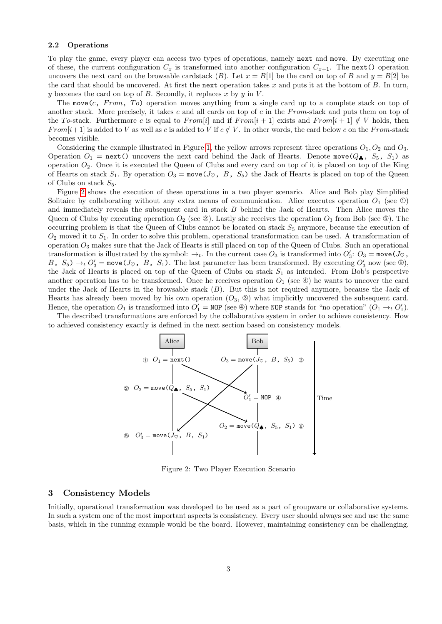#### 2.2 Operations

To play the game, every player can access two types of operations, namely next and move. By executing one of these, the current configuration  $C_x$  is transformed into another configuration  $C_{x+1}$ . The next() operation uncovers the next card on the browsable cardstack (B). Let  $x = B[1]$  be the card on top of B and  $y = B[2]$  be the card that should be uncovered. At first the next operation takes x and puts it at the bottom of  $B$ . In turn, y becomes the card on top of  $B$ . Secondly, it replaces x by y in V.

The move  $(c, From, To)$  operation moves anything from a single card up to a complete stack on top of another stack. More precisely, it takes c and all cards on top of c in the From-stack and puts them on top of the To-stack. Furthermore c is equal to From[i] and if  $From[i + 1]$  exists and  $From[i + 1] \notin V$  holds, then  $From[i+1]$  is added to V as well as c is added to V if  $c \notin V$ . In other words, the card below c on the From-stack becomes visible.

Considering the example illustrated in Figure [1,](#page-1-2) the yellow arrows represent three operations  $O_1$ ,  $O_2$  and  $O_3$ . Operation  $O_1$  = next() uncovers the next card behind the Jack of Hearts. Denote move( $Q_{\clubsuit}$ ,  $S_5$ ,  $S_1$ ) as operation  $O_2$ . Once it is executed the Queen of Clubs and every card on top of it is placed on top of the King of Hearts on stack  $S_1$ . By operation  $O_3 = \text{move}(J_{\heartsuit}, B, S_5)$  the Jack of Hearts is placed on top of the Queen of Clubs on stack  $S_5$ .

Figure [2](#page-2-1) shows the execution of these operations in a two player scenario. Alice and Bob play Simplified Solitaire by collaborating without any extra means of communication. Alice executes operation  $O_1$  (see ①) and immediately reveals the subsequent card in stack B behind the Jack of Hearts. Then Alice moves the Queen of Clubs by executing operation  $O_2$  (see  $\circledcirc$ ). Lastly she receives the operation  $O_3$  from Bob (see  $\circledcirc$ ). The occurring problem is that the Queen of Clubs cannot be located on stack  $S_5$  anymore, because the execution of  $O_2$  moved it to  $S_1$ . In order to solve this problem, operational transformation can be used. A transformation of operation  $O_3$  makes sure that the Jack of Hearts is still placed on top of the Queen of Clubs. Such an operational transformation is illustrated by the symbol:  $\rightarrow_t$ . In the current case  $O_3$  is transformed into  $O'_3$ :  $O_3$  = move( $J_{\heartsuit}$ , B,  $S_5$ )  $\rightarrow_t O'_3$  = move( $J_{\heartsuit}$ , B, S<sub>1</sub>). The last parameter has been transformed. By executing  $O'_3$  now (see  $\circledcirc$ ), the Jack of Hearts is placed on top of the Queen of Clubs on stack  $S_1$  as intended. From Bob's perspective another operation has to be transformed. Once he receives operation  $O_1$  (see  $\circledast$ ) he wants to uncover the card under the Jack of Hearts in the browsable stack  $(B)$ . But this is not required anymore, because the Jack of Hearts has already been moved by his own operation  $(O_3, \mathcal{D})$  what implicitly uncovered the subsequent card. Hence, the operation  $O_1$  is transformed into  $O'_1 = \text{NOP}$  (see  $\circledast$ ) where  $\text{NOP}$  stands for "no operation"  $(O_1 \rightarrow_t O'_1)$ .

The described transformations are enforced by the collaborative system in order to achieve consistency. How to achieved consistency exactly is defined in the next section based on consistency models.



<span id="page-2-1"></span>Figure 2: Two Player Execution Scenario

### <span id="page-2-0"></span>3 Consistency Models

Initially, operational transformation was developed to be used as a part of groupware or collaborative systems. In such a system one of the most important aspects is consistency. Every user should always see and use the same basis, which in the running example would be the board. However, maintaining consistency can be challenging.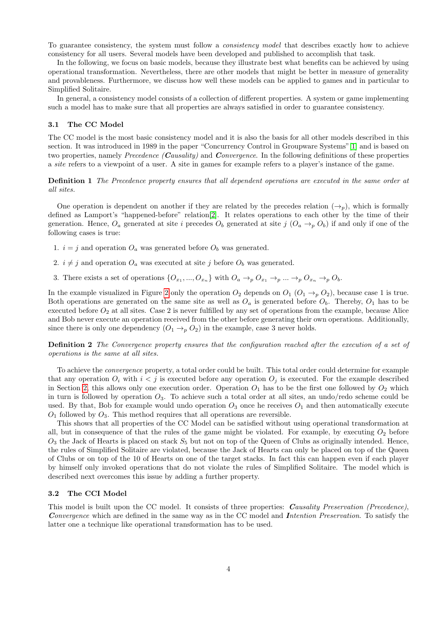To guarantee consistency, the system must follow a *consistency model* that describes exactly how to achieve consistency for all users. Several models have been developed and published to accomplish that task.

In the following, we focus on basic models, because they illustrate best what benefits can be achieved by using operational transformation. Nevertheless, there are other models that might be better in measure of generality and provableness. Furthermore, we discuss how well these models can be applied to games and in particular to Simplified Solitaire.

In general, a consistency model consists of a collection of different properties. A system or game implementing such a model has to make sure that all properties are always satisfied in order to guarantee consistency.

#### <span id="page-3-1"></span>3.1 The CC Model

The CC model is the most basic consistency model and it is also the basis for all other models described in this section. It was introduced in 1989 in the paper "Concurrency Control in Groupware Systems"[\[1\]](#page-12-0) and is based on two properties, namely Precedence (Causality) and Convergence. In the following definitions of these properties a site refers to a viewpoint of a user. A site in games for example refers to a player's instance of the game.

Definition 1 The Precedence property ensures that all dependent operations are executed in the same order at all sites.

One operation is dependent on another if they are related by the precedes relation  $(\rightarrow_p)$ , which is formally defined as Lamport's "happened-before" relation[\[2\]](#page-12-1). It relates operations to each other by the time of their generation. Hence,  $O_a$  generated at site i precedes  $O_b$  generated at site j  $(O_a \rightarrow D_b)$  if and only if one of the following cases is true:

- 1.  $i = j$  and operation  $O_a$  was generated before  $O_b$  was generated.
- 2.  $i \neq j$  and operation  $O_a$  was executed at site j before  $O_b$  was generated.
- 3. There exists a set of operations  $\{O_{x_1},...,O_{x_n}\}\$  with  $O_a \to_p O_{x_1} \to_p ... \to_p O_{x_n} \to_p O_b$ .

In the example visualized in Figure [2](#page-2-1) only the operation  $O_2$  depends on  $O_1$   $(O_1 \rightarrow_p O_2)$ , because case 1 is true. Both operations are generated on the same site as well as  $O_a$  is generated before  $O_b$ . Thereby,  $O_1$  has to be executed before  $O_2$  at all sites. Case 2 is never fulfilled by any set of operations from the example, because Alice and Bob never execute an operation received from the other before generating their own operations. Additionally, since there is only one dependency  $(O_1 \rightarrow_p O_2)$  in the example, case 3 never holds.

Definition 2 The Convergence property ensures that the configuration reached after the execution of a set of operations is the same at all sites.

To achieve the convergence property, a total order could be built. This total order could determine for example that any operation  $O_i$  with  $i < j$  is executed before any operation  $O_j$  is executed. For the example described in Section [2,](#page-1-0) this allows only one execution order. Operation  $O_1$  has to be the first one followed by  $O_2$  which in turn is followed by operation  $O_3$ . To achieve such a total order at all sites, an undo/redo scheme could be used. By that, Bob for example would undo operation  $O_3$  once he receives  $O_1$  and then automatically execute  $O_1$  followed by  $O_3$ . This method requires that all operations are reversible.

This shows that all properties of the CC Model can be satisfied without using operational transformation at all, but in consequence of that the rules of the game might be violated. For example, by executing  $O_2$  before  $O_3$  the Jack of Hearts is placed on stack  $S_5$  but not on top of the Queen of Clubs as originally intended. Hence, the rules of Simplified Solitaire are violated, because the Jack of Hearts can only be placed on top of the Queen of Clubs or on top of the 10 of Hearts on one of the target stacks. In fact this can happen even if each player by himself only invoked operations that do not violate the rules of Simplified Solitaire. The model which is described next overcomes this issue by adding a further property.

#### <span id="page-3-0"></span>3.2 The CCI Model

This model is built upon the CC model. It consists of three properties: Causality Preservation (Precedence), Convergence which are defined in the same way as in the CC model and Intention Preservation. To satisfy the latter one a technique like operational transformation has to be used.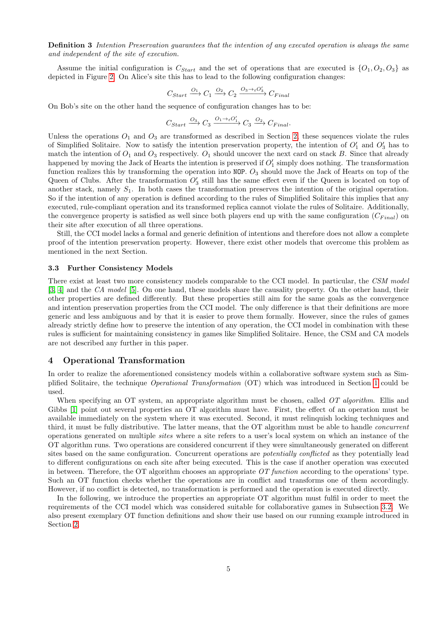Definition 3 Intention Preservation guarantees that the intention of any executed operation is always the same and independent of the site of execution.

Assume the initial configuration is  $C_{Start}$  and the set of operations that are executed is  $\{O_1, O_2, O_3\}$  as depicted in Figure [2.](#page-2-1) On Alice's site this has to lead to the following configuration changes:

$$
C_{Start} \xrightarrow{O_1} C_1 \xrightarrow{O_2} C_2 \xrightarrow{O_3 \rightarrow \iota O'_3} C_{Final}
$$

On Bob's site on the other hand the sequence of configuration changes has to be:

$$
C_{Start} \xrightarrow{O_3} C_3 \xrightarrow{O_1 \rightarrow \iota O_1'} C_3 \xrightarrow{O_2} C_{Final}.
$$

Unless the operations  $O_1$  and  $O_3$  are transformed as described in Section [2,](#page-1-0) these sequences violate the rules of Simplified Solitaire. Now to satisfy the intention preservation property, the intention of  $O'_1$  and  $O'_3$  has to match the intention of  $O_1$  and  $O_3$  respectively.  $O_1$  should uncover the next card on stack B. Since that already happened by moving the Jack of Hearts the intention is preserved if  $O'_1$  simply does nothing. The transformation function realizes this by transforming the operation into  $NOP$ .  $O_3$  should move the Jack of Hearts on top of the Queen of Clubs. After the transformation  $O'_3$  still has the same effect even if the Queen is located on top of another stack, namely  $S_1$ . In both cases the transformation preserves the intention of the original operation. So if the intention of any operation is defined according to the rules of Simplified Solitaire this implies that any executed, rule-compliant operation and its transformed replica cannot violate the rules of Solitaire. Additionally, the convergence property is satisfied as well since both players end up with the same configuration  $(C_{Final})$  on their site after execution of all three operations.

Still, the CCI model lacks a formal and generic definition of intentions and therefore does not allow a complete proof of the intention preservation property. However, there exist other models that overcome this problem as mentioned in the next Section.

#### 3.3 Further Consistency Models

There exist at least two more consistency models comparable to the CCI model. In particular, the CSM model [\[3,](#page-12-2) [4\]](#page-12-3) and the CA model [\[5\]](#page-12-4). On one hand, these models share the causality property. On the other hand, their other properties are defined differently. But these properties still aim for the same goals as the convergence and intention preservation properties from the CCI model. The only difference is that their definitions are more generic and less ambiguous and by that it is easier to prove them formally. However, since the rules of games already strictly define how to preserve the intention of any operation, the CCI model in combination with these rules is sufficient for maintaining consistency in games like Simplified Solitaire. Hence, the CSM and CA models are not described any further in this paper.

### <span id="page-4-0"></span>4 Operational Transformation

In order to realize the aforementioned consistency models within a collaborative software system such as Simplified Solitaire, the technique Operational Transformation (OT) which was introduced in Section [1](#page-0-3) could be used.

When specifying an OT system, an appropriate algorithm must be chosen, called OT algorithm. Ellis and Gibbs  $[1]$  point out several properties an OT algorithm must have. First, the effect of an operation must be available immediately on the system where it was executed. Second, it must relinquish locking techniques and third, it must be fully distributive. The latter means, that the OT algorithm must be able to handle concurrent operations generated on multiple sites where a site refers to a user's local system on which an instance of the OT algorithm runs. Two operations are considered concurrent if they were simultaneously generated on different sites based on the same configuration. Concurrent operations are *potentially conflicted* as they potentially lead to different configurations on each site after being executed. This is the case if another operation was executed in between. Therefore, the OT algorithm chooses an appropriate  $OT$  function according to the operations' type. Such an OT function checks whether the operations are in conflict and transforms one of them accordingly. However, if no conflict is detected, no transformation is performed and the operation is executed directly.

In the following, we introduce the properties an appropriate OT algorithm must fulfil in order to meet the requirements of the CCI model which was considered suitable for collaborative games in Subsection [3.2.](#page-3-0) We also present exemplary OT function definitions and show their use based on our running example introduced in Section [2.](#page-1-0)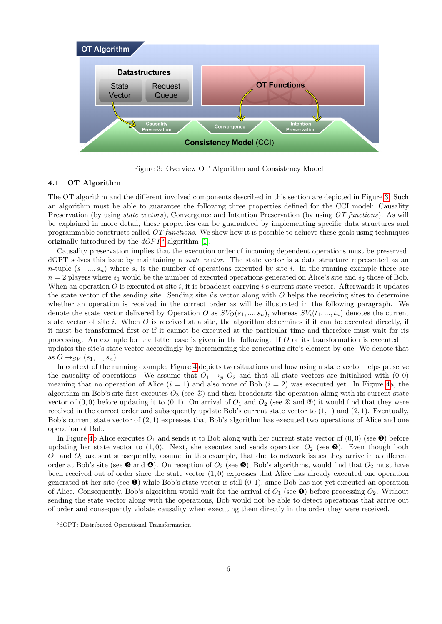

<span id="page-5-0"></span>Figure 3: Overview OT Algorithm and Consistency Model

# 4.1 OT Algorithm

The OT algorithm and the different involved components described in this section are depicted in Figure [3.](#page-5-0) Such an algorithm must be able to guarantee the following three properties defined for the CCI model: Causality Preservation (by using *state vectors*), Convergence and Intention Preservation (by using OT functions). As will be explained in more detail, these properties can be guaranteed by implementing specific data structures and programmable constructs called  $OT$  functions. We show how it is possible to achieve these goals using techniques originally introduced by the  $dOPT^5$  $dOPT^5$  algorithm [\[1\]](#page-12-0).

Causality preservation implies that the execution order of incoming dependent operations must be preserved. dOPT solves this issue by maintaining a state vector. The state vector is a data structure represented as an *n*-tuple  $(s_1, ..., s_n)$  where  $s_i$  is the number of operations executed by site *i*. In the running example there are  $n = 2$  players where  $s_1$  would be the number of executed operations generated on Alice's site and  $s_2$  those of Bob. When an operation  $O$  is executed at site i, it is broadcast carrying i's current state vector. Afterwards it updates the state vector of the sending site. Sending site  $i$ 's vector along with  $O$  helps the receiving sites to determine whether an operation is received in the correct order as will be illustrated in the following paragraph. We denote the state vector delivered by Operation O as  $SV_0(s_1, ..., s_n)$ , whereas  $SV_i(t_1, ..., t_n)$  denotes the current state vector of site i. When  $O$  is received at a site, the algorithm determines if it can be executed directly, if it must be transformed first or if it cannot be executed at the particular time and therefore must wait for its processing. An example for the latter case is given in the following. If O or its transformation is executed, it updates the site's state vector accordingly by incrementing the generating site's element by one. We denote that as  $O \rightarrow_{SV} (s_1, ..., s_n)$ .

In context of the running example, Figure [4](#page-6-0) depicts two situations and how using a state vector helps preserve the causality of operations. We assume that  $O_1 \rightarrow_p O_2$  and that all state vectors are initialised with  $(0,0)$ meaning that no operation of Alice  $(i = 1)$  and also none of Bob  $(i = 2)$  was executed yet. In Figure [4a](#page-6-0), the algorithm on Bob's site first executes  $O_3$  (see  $\mathcal{D}$ ) and then broadcasts the operation along with its current state vector of  $(0,0)$  before updating it to  $(0,1)$ . On arrival of  $O_1$  and  $O_2$  (see  $\circledast$  and  $\circledast)$ ) it would find that they were received in the correct order and subsequently update Bob's current state vector to  $(1, 1)$  and  $(2, 1)$ . Eventually, Bob's current state vector of (2, 1) expresses that Bob's algorithm has executed two operations of Alice and one operation of Bob.

In Figure [4b](#page-6-0) Alice executes  $O_1$  and sends it to Bob along with her current state vector of  $(0,0)$  (see  $\bullet$ ) before updating her state vector to  $(1,0)$ . Next, she executes and sends operation  $O_2$  (see  $\bullet$ ). Even though both  $O_1$  and  $O_2$  are sent subsequently, assume in this example, that due to network issues they arrive in a different order at Bob's site (see  $\bullet$  and  $\bullet$ ). On reception of  $O_2$  (see  $\bullet$ ), Bob's algorithms, would find that  $O_2$  must have been received out of order since the state vector  $(1,0)$  expresses that Alice has already executed one operation generated at her site (see  $\bullet$ ) while Bob's state vector is still  $(0, 1)$ , since Bob has not yet executed an operation of Alice. Consequently, Bob's algorithm would wait for the arrival of  $O_1$  (see  $\bullet$ ) before processing  $O_2$ . Without sending the state vector along with the operations, Bob would not be able to detect operations that arrive out of order and consequently violate causality when executing them directly in the order they were received.

<span id="page-5-1"></span><sup>5</sup>dOPT: Distributed Operational Transformation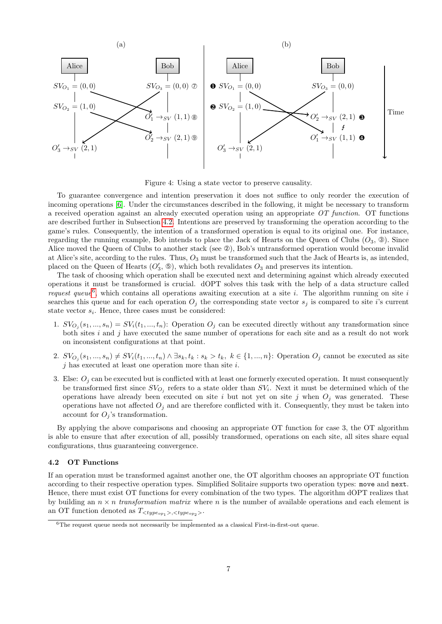

<span id="page-6-0"></span>Figure 4: Using a state vector to preserve causality.

To guarantee convergence and intention preservation it does not suffice to only reorder the execution of incoming operations [\[6\]](#page-12-5). Under the circumstances described in the following, it might be necessary to transform a received operation against an already executed operation using an appropriate  $OT$  function. OT functions are described further in Subsection [4.2.](#page-6-1) Intentions are preserved by transforming the operation according to the game's rules. Consequently, the intention of a transformed operation is equal to its original one. For instance, regarding the running example, Bob intends to place the Jack of Hearts on the Queen of Clubs  $(O_3, \mathcal{D})$ . Since Alice moved the Queen of Clubs to another stack (see ➁), Bob's untransformed operation would become invalid at Alice's site, according to the rules. Thus,  $O_3$  must be transformed such that the Jack of Hearts is, as intended. placed on the Queen of Hearts  $(O'_3, \mathbb{G})$ , which both revalidates  $O_3$  and preserves its intention.

The task of choosing which operation shall be executed next and determining against which already executed operations it must be transformed is crucial. dOPT solves this task with the help of a data structure called request queue<sup>[6](#page-6-2)</sup>, which contains all operations awaiting execution at a site i. The algorithm running on site i searches this queue and for each operation  $O_j$  the corresponding state vector  $s_j$  is compared to site i's current state vector  $s_i$ . Hence, three cases must be considered:

- 1.  $SV_{O_j}(s_1,...,s_n) = SV_i(t_1,...,t_n)$ : Operation  $O_j$  can be executed directly without any transformation since both sites  $i$  and  $j$  have executed the same number of operations for each site and as a result do not work on inconsistent configurations at that point.
- 2.  $SV_{O_j}(s_1, ..., s_n) \neq SV_i(t_1, ..., t_n) \land \exists s_k, t_k : s_k > t_k, k \in \{1, ..., n\}$ : Operation  $O_j$  cannot be executed as site  $j$  has executed at least one operation more than site  $i$ .
- 3. Else:  $O_i$  can be executed but is conflicted with at least one formerly executed operation. It must consequently be transformed first since  $SV_{O_j}$  refers to a state older than  $SV_i$ . Next it must be determined which of the operations have already been executed on site i but not yet on site j when  $O_i$  was generated. These operations have not affected  $O_j$  and are therefore conflicted with it. Consequently, they must be taken into account for  $O_j$ 's transformation.

By applying the above comparisons and choosing an appropriate OT function for case 3, the OT algorithm is able to ensure that after execution of all, possibly transformed, operations on each site, all sites share equal configurations, thus guaranteeing convergence.

#### <span id="page-6-1"></span>4.2 OT Functions

If an operation must be transformed against another one, the OT algorithm chooses an appropriate OT function according to their respective operation types. Simplified Solitaire supports two operation types: move and next. Hence, there must exist OT functions for every combination of the two types. The algorithm dOPT realizes that by building an  $n \times n$  transformation matrix where n is the number of available operations and each element is an OT function denoted as  $T_{\langle type_{op_1} \rangle, \langle type_{op_2} \rangle}$ .

<span id="page-6-2"></span> $6$ The request queue needs not necessarily be implemented as a classical First-in-first-out queue.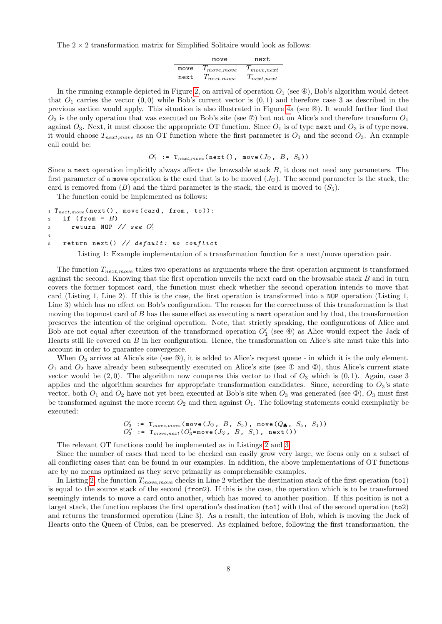The  $2 \times 2$  transformation matrix for Simplified Solitaire would look as follows:

|      | move             | next            |
|------|------------------|-----------------|
| move | $T_{move, move}$ | $1$ move, next  |
| next | $T_{next,move}$  | $T_{next,next}$ |

In the running example depicted in Figure [2,](#page-2-1) on arrival of operation  $O_1$  (see  $\circledast$ ), Bob's algorithm would detect that  $O_1$  carries the vector  $(0,0)$  while Bob's current vector is  $(0,1)$  and therefore case 3 as described in the previous section would apply. This situation is also illustrated in Figure [4a](#page-6-0) (see ➇). It would further find that  $O_3$  is the only operation that was executed on Bob's site (see  $\mathcal{D}$ ) but not on Alice's and therefore transform  $O_1$ against  $O_3$ . Next, it must choose the appropriate OT function. Since  $O_1$  is of type next and  $O_3$  is of type move, it would choose  $T_{nextmove}$  as an OT function where the first parameter is  $O_1$  and the second  $O_3$ . An example call could be:

$$
O_1' := T_{next, move}(\texttt{next}(), \texttt{move}(J_\heartsuit, B, S_5))
$$

Since a next operation implicitly always affects the browsable stack  $B$ , it does not need any parameters. The first parameter of a move operation is the card that is to be moved  $(J_{\infty})$ . The second parameter is the stack, the card is removed from  $(B)$  and the third parameter is the stack, the card is moved to  $(S_5)$ .

The function could be implemented as follows:

```
1 T_{next, move} (next (), move (card, from, to)):
2 if (from = B)3 return NOP // see O'_14
5 return next() // default: no conflict
```
Listing 1: Example implementation of a transformation function for a next/move operation pair.

The function  $T_{next,move}$  takes two operations as arguments where the first operation argument is transformed against the second. Knowing that the first operation unveils the next card on the browsable stack  $B$  and in turn covers the former topmost card, the function must check whether the second operation intends to move that card (Listing 1, Line 2). If this is the case, the first operation is transformed into a NOP operation (Listing 1, Line 3) which has no effect on Bob's configuration. The reason for the correctness of this transformation is that moving the topmost card of  $B$  has the same effect as executing a next operation and by that, the transformation preserves the intention of the original operation. Note, that strictly speaking, the configurations of Alice and Bob are not equal after execution of the transformed operation  $O'_1$  (see  $\circledast$ ) as Alice would expect the Jack of Hearts still lie covered on  $B$  in her configuration. Hence, the transformation on Alice's site must take this into account in order to guarantee convergence.

When  $O_3$  arrives at Alice's site (see  $\circledcirc$ ), it is added to Alice's request queue - in which it is the only element.  $O_1$  and  $O_2$  have already been subsequently executed on Alice's site (see  $\mathbb O$  and  $\mathbb Q$ ), thus Alice's current state vector would be  $(2, 0)$ . The algorithm now compares this vector to that of  $O_3$  which is  $(0, 1)$ . Again, case 3 applies and the algorithm searches for appropriate transformation candidates. Since, according to  $O_3$ 's state vector, both  $O_1$  and  $O_2$  have not yet been executed at Bob's site when  $O_3$  was generated (see  $\circledcirc$ ),  $O_3$  must first be transformed against the more recent  $O_2$  and then against  $O_1$ . The following statements could exemplarily be executed:

$$
O'_3
$$
 :=  $T_{move, move}(\text{move}(J\varphi, B, S_5), \text{move}(Q_{\clubsuit}, S_5, S_1))$   
\n $O''_3 := T_{move, next}(O'_3 = \text{move}(J\varphi, B, S_1), \text{next}())$ 

The relevant OT functions could be implemented as in Listings [2](#page-8-0) and [3.](#page-8-1)

Since the number of cases that need to be checked can easily grow very large, we focus only on a subset of all conflicting cases that can be found in our examples. In addition, the above implementations of OT functions are by no means optimized as they serve primarily as comprehensible examples.

In Listing [2,](#page-8-0) the function  $T_{move, move}$  checks in Line 2 whether the destination stack of the first operation (to1) is equal to the source stack of the second (from2). If this is the case, the operation which is to be transformed seemingly intends to move a card onto another, which has moved to another position. If this position is not a target stack, the function replaces the first operation's destination (to1) with that of the second operation (to2) and returns the transformed operation (Line 3). As a result, the intention of Bob, which is moving the Jack of Hearts onto the Queen of Clubs, can be preserved. As explained before, following the first transformation, the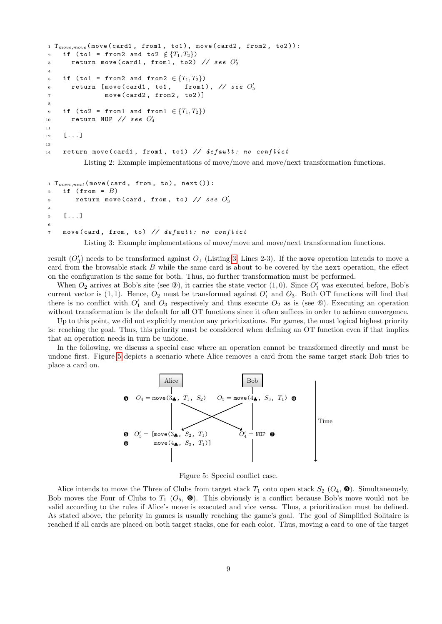```
1 T_{move, move} (move (card1, from1, to1), move (card2, from2, to2)):
2 if (to1 = from2 and to2 \notin \{T_1, T_2\})
_3 return move(card1, from1, to2) // see O_2^\prime4
5 if (to1 = from2 and from2 \in \{T_1, T_2\})
6 return [move (card1, to1,
                                                         \frac{7}{5}7 move (card2, from2, to2)]
8
9 if (to2 = from1 and from1 \in \{T_1, T_2\})
_{10} return NOP // see O'_{4}11
12 [...]
13
14 return move (card1, from1, to1) // default: no conflict
          Listing 2: Example implementations of move/move and move/next transformation functions.
```

```
1 T_{move, next} (move (card, from, to), next()):
2 if (from = B)3 return move(card, from, to) // see O_3'4
5 [...]
6
7 move ( card , from , to ) // default : no conflict
```
Listing 3: Example implementations of move/move and move/next transformation functions.

result  $(O'_3)$  needs to be transformed against  $O_1$  (Listing [3,](#page-8-1) Lines 2-3). If the move operation intends to move a card from the browsable stack B while the same card is about to be covered by the next operation, the effect on the configuration is the same for both. Thus, no further transformation must be performed.

When  $O_2$  arrives at Bob's site (see  $\circledcirc$ ), it carries the state vector  $(1,0)$ . Since  $O'_1$  was executed before, Bob's current vector is  $(1, 1)$ . Hence,  $O_2$  must be transformed against  $O'_1$  and  $O_3$ . Both OT functions will find that there is no conflict with  $O'_1$  and  $O_3$  respectively and thus execute  $O_2$  as is (see  $\circledast$ ). Executing an operation without transformation is the default for all OT functions since it often suffices in order to achieve convergence.

Up to this point, we did not explicitly mention any prioritizations. For games, the most logical highest priority is: reaching the goal. Thus, this priority must be considered when defining an OT function even if that implies that an operation needs in turn be undone.

In the following, we discuss a special case where an operation cannot be transformed directly and must be undone first. Figure [5](#page-8-2) depicts a scenario where Alice removes a card from the same target stack Bob tries to place a card on.



<span id="page-8-2"></span>Figure 5: Special conflict case.

Alice intends to move the Three of Clubs from target stack  $T_1$  onto open stack  $S_2$  ( $O_4$ ,  $\bigoplus$ ). Simultaneously, Bob moves the Four of Clubs to  $T_1$  ( $O_5$ ,  $\bullet$ ). This obviously is a conflict because Bob's move would not be valid according to the rules if Alice's move is executed and vice versa. Thus, a prioritization must be defined. As stated above, the priority in games is usually reaching the game's goal. The goal of Simplified Solitaire is reached if all cards are placed on both target stacks, one for each color. Thus, moving a card to one of the target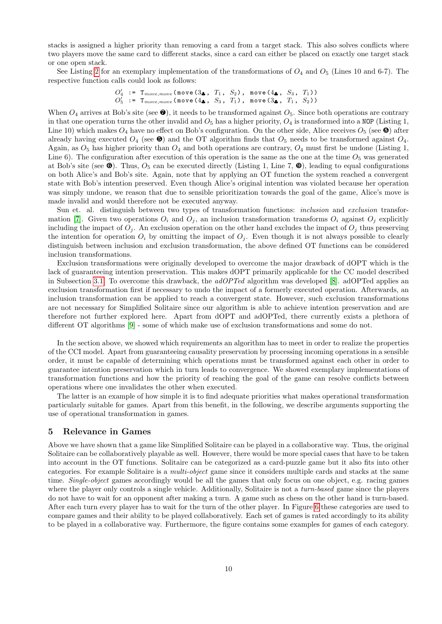stacks is assigned a higher priority than removing a card from a target stack. This also solves conflicts where two players move the same card to different stacks, since a card can either be placed on exactly one target stack or one open stack.

See Listing [2](#page-8-0) for an exemplary implementation of the transformations of  $O_4$  and  $O_5$  (Lines 10 and 6-7). The respective function calls could look as follows:

> $O'_4$  := T<sub>move,move</sub> (move  $(3, 1, T_1, S_2)$ , move  $(4, 1, S_3, T_1)$ )  $O'_5$  := T<sub>move,move</sub> (move(4<sub>4</sub>,  $S_3$ ,  $T_1$ ), move(3<sub>4</sub>,  $T_1$ ,  $S_2$ ))

When  $O_4$  arrives at Bob's site (see  $\bullet$ ), it needs to be transformed against  $O_5$ . Since both operations are contrary in that one operation turns the other invalid and  $O_5$  has a higher priority,  $O_4$  is transformed into a NOP (Listing 1, Line 10) which makes  $O_4$  have no effect on Bob's configuration. On the other side, Alice receives  $O_5$  (see  $\bullet$ ) after already having executed  $O_4$  (see  $\bullet$ ) and the OT algorithm finds that  $O_5$  needs to be transformed against  $O_4$ . Again, as  $O_5$  has higher priority than  $O_4$  and both operations are contrary,  $O_4$  must first be undone (Listing 1, Line 6). The configuration after execution of this operation is the same as the one at the time  $O_5$  was generated at Bob's site (see  $\bullet$ ). Thus,  $O_5$  can be executed directly (Listing 1, Line 7,  $\bullet$ ), leading to equal configurations on both Alice's and Bob's site. Again, note that by applying an OT function the system reached a convergent state with Bob's intention preserved. Even though Alice's original intention was violated because her operation was simply undone, we reason that due to sensible prioritization towards the goal of the game, Alice's move is made invalid and would therefore not be executed anyway.

Sun et. al. distinguish between two types of transformation functions: *inclusion* and exclusion transfor-mation [\[7\]](#page-12-6). Given two operations  $O_i$  and  $O_j$ , an inclusion transformation transforms  $O_i$  against  $O_j$  explicitly including the impact of  $O_i$ . An exclusion operation on the other hand excludes the impact of  $O_i$  thus preserving the intention for operation  $O_i$  by omitting the impact of  $O_j$ . Even though it is not always possible to clearly distinguish between inclusion and exclusion transformation, the above defined OT functions can be considered inclusion transformations.

Exclusion transformations were originally developed to overcome the major drawback of dOPT which is the lack of guaranteeing intention preservation. This makes dOPT primarily applicable for the CC model described in Subsection [3.1.](#page-3-1) To overcome this drawback, the *adOPTed* algorithm was developed [\[8\]](#page-12-7). adOPTed applies an exclusion transformation first if necessary to undo the impact of a formerly executed operation. Afterwards, an inclusion transformation can be applied to reach a convergent state. However, such exclusion transformations are not necessary for Simplified Solitaire since our algorithm is able to achieve intention preservation and are therefore not further explored here. Apart from dOPT and adOPTed, there currently exists a plethora of different OT algorithms [\[9\]](#page-12-8) - some of which make use of exclusion transformations and some do not.

In the section above, we showed which requirements an algorithm has to meet in order to realize the properties of the CCI model. Apart from guaranteeing causality preservation by processing incoming operations in a sensible order, it must be capable of determining which operations must be transformed against each other in order to guarantee intention preservation which in turn leads to convergence. We showed exemplary implementations of transformation functions and how the priority of reaching the goal of the game can resolve conflicts between operations where one invalidates the other when executed.

The latter is an example of how simple it is to find adequate priorities what makes operational transformation particularly suitable for games. Apart from this benefit, in the following, we describe arguments supporting the use of operational transformation in games.

#### <span id="page-9-0"></span>5 Relevance in Games

Above we have shown that a game like Simplified Solitaire can be played in a collaborative way. Thus, the original Solitaire can be collaboratively playable as well. However, there would be more special cases that have to be taken into account in the OT functions. Solitaire can be categorized as a card-puzzle game but it also fits into other categories. For example Solitaire is a multi-object game since it considers multiple cards and stacks at the same time. Single-object games accordingly would be all the games that only focus on one object, e.g. racing games where the player only controls a single vehicle. Additionally, Solitaire is not a turn-based game since the players do not have to wait for an opponent after making a turn. A game such as chess on the other hand is turn-based. After each turn every player has to wait for the turn of the other player. In Figure [6](#page-10-0) these categories are used to compare games and their ability to be played collaboratively. Each set of games is rated accordingly to its ability to be played in a collaborative way. Furthermore, the figure contains some examples for games of each category.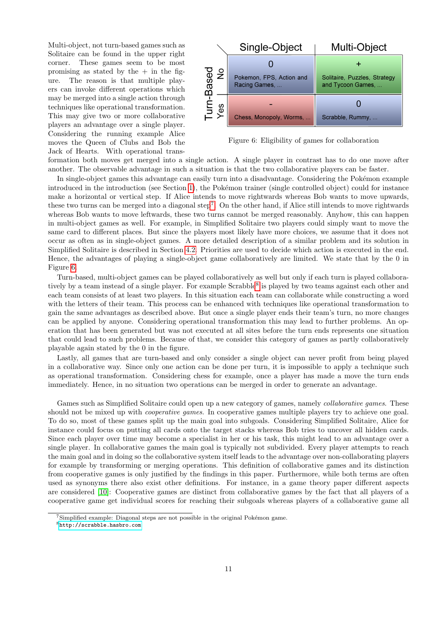Multi-object, not turn-based games such as Solitaire can be found in the upper right corner. These games seem to be most promising as stated by the  $+$  in the figure. The reason is that multiple players can invoke different operations which may be merged into a single action through techniques like operational transformation. This may give two or more collaborative players an advantage over a single player. Considering the running example Alice moves the Queen of Clubs and Bob the Jack of Hearts. With operational trans-



<span id="page-10-0"></span>Figure 6: Eligibility of games for collaboration

formation both moves get merged into a single action. A single player in contrast has to do one move after another. The observable advantage in such a situation is that the two collaborative players can be faster.

In single-object games this advantage can easily turn into a disadvantage. Considering the Pokémon example introduced in the introduction (see Section [1\)](#page-0-3), the Pokémon trainer (single controlled object) could for instance make a horizontal or vertical step. If Alice intends to move rightwards whereas Bob wants to move upwards, these two turns can be merged into a diagonal step<sup>[7](#page-10-1)</sup>. On the other hand, if Alice still intends to move rightwards whereas Bob wants to move leftwards, these two turns cannot be merged reasonably. Anyhow, this can happen in multi-object games as well. For example, in Simplified Solitaire two players could simply want to move the same card to different places. But since the players most likely have more choices, we assume that it does not occur as often as in single-object games. A more detailed description of a similar problem and its solution in Simplified Solitaire is described in Section [4.2.](#page-6-1) Priorities are used to decide which action is executed in the end. Hence, the advantages of playing a single-object game collaboratively are limited. We state that by the 0 in Figure [6.](#page-10-0)

Turn-based, multi-object games can be played collaboratively as well but only if each turn is played collabora-tively by a team instead of a single player. For example Scrabble<sup>[8](#page-10-2)</sup> is played by two teams against each other and each team consists of at least two players. In this situation each team can collaborate while constructing a word with the letters of their team. This process can be enhanced with techniques like operational transformation to gain the same advantages as described above. But once a single player ends their team's turn, no more changes can be applied by anyone. Considering operational transformation this may lead to further problems. An operation that has been generated but was not executed at all sites before the turn ends represents one situation that could lead to such problems. Because of that, we consider this category of games as partly collaboratively playable again stated by the 0 in the figure.

Lastly, all games that are turn-based and only consider a single object can never profit from being played in a collaborative way. Since only one action can be done per turn, it is impossible to apply a technique such as operational transformation. Considering chess for example, once a player has made a move the turn ends immediately. Hence, in no situation two operations can be merged in order to generate an advantage.

Games such as Simplified Solitaire could open up a new category of games, namely *collaborative games*. These should not be mixed up with *cooperative games*. In cooperative games multiple players try to achieve one goal. To do so, most of these games split up the main goal into subgoals. Considering Simplified Solitaire, Alice for instance could focus on putting all cards onto the target stacks whereas Bob tries to uncover all hidden cards. Since each player over time may become a specialist in her or his task, this might lead to an advantage over a single player. In collaborative games the main goal is typically not subdivided. Every player attempts to reach the main goal and in doing so the collaborative system itself leads to the advantage over non-collaborating players for example by transforming or merging operations. This definition of collaborative games and its distinction from cooperative games is only justified by the findings in this paper. Furthermore, while both terms are often used as synonyms there also exist other definitions. For instance, in a game theory paper different aspects are considered [\[10\]](#page-12-9): Cooperative games are distinct from collaborative games by the fact that all players of a cooperative game get individual scores for reaching their subgoals whereas players of a collaborative game all

<span id="page-10-1"></span> $7$ Simplified example: Diagonal steps are not possible in the original Pokémon game.

<span id="page-10-2"></span><sup>8</sup><http://scrabble.hasbro.com>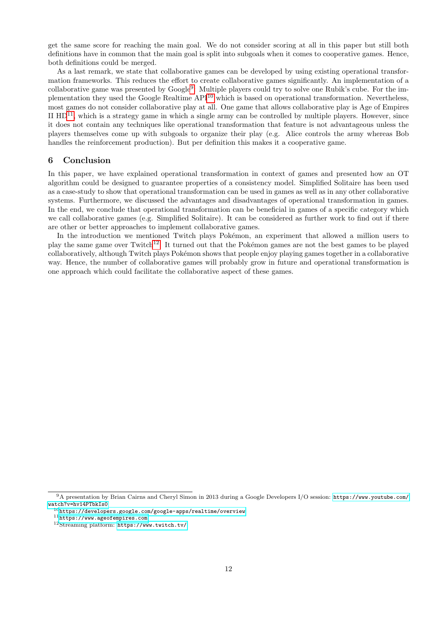get the same score for reaching the main goal. We do not consider scoring at all in this paper but still both definitions have in common that the main goal is split into subgoals when it comes to cooperative games. Hence, both definitions could be merged.

As a last remark, we state that collaborative games can be developed by using existing operational transformation frameworks. This reduces the effort to create collaborative games significantly. An implementation of a collaborative game was presented by Google<sup>[9](#page-11-0)</sup>: Multiple players could try to solve one Rubik's cube. For the implementation they used the Google Realtime API[10](#page-11-1) which is based on operational transformation. Nevertheless, most games do not consider collaborative play at all. One game that allows collaborative play is Age of Empires II  $HD<sup>11</sup>$  $HD<sup>11</sup>$  $HD<sup>11</sup>$ , which is a strategy game in which a single army can be controlled by multiple players. However, since it does not contain any techniques like operational transformation that feature is not advantageous unless the players themselves come up with subgoals to organize their play (e.g. Alice controls the army whereas Bob handles the reinforcement production). But per definition this makes it a cooperative game.

## 6 Conclusion

In this paper, we have explained operational transformation in context of games and presented how an OT algorithm could be designed to guarantee properties of a consistency model. Simplified Solitaire has been used as a case-study to show that operational transformation can be used in games as well as in any other collaborative systems. Furthermore, we discussed the advantages and disadvantages of operational transformation in games. In the end, we conclude that operational transformation can be beneficial in games of a specific category which we call collaborative games (e.g. Simplified Solitaire). It can be considered as further work to find out if there are other or better approaches to implement collaborative games.

In the introduction we mentioned Twitch plays Pokémon, an experiment that allowed a million users to play the same game over Twitch<sup>[12](#page-11-3)</sup>. It turned out that the Pokémon games are not the best games to be played collaboratively, although Twitch plays Pokémon shows that people enjoy playing games together in a collaborative way. Hence, the number of collaborative games will probably grow in future and operational transformation is one approach which could facilitate the collaborative aspect of these games.

<span id="page-11-0"></span><sup>9</sup>A presentation by Brian Cairns and Cheryl Simon in 2013 during a Google Developers I/O session: [https://www.youtube.com/](https://www.youtube.com/watch?v=hv14PTbkIs0) [watch?v=hv14PTbkIs0](https://www.youtube.com/watch?v=hv14PTbkIs0)

<span id="page-11-1"></span> $^{10}{\tt \small https://developers.google.com/google-apps/realtime/overview}$  $^{10}{\tt \small https://developers.google.com/google-apps/realtime/overview}$  $^{10}{\tt \small https://developers.google.com/google-apps/realtime/overview}$ 

<span id="page-11-2"></span><sup>11</sup><https://www.ageofempires.com>

<span id="page-11-3"></span><sup>12</sup>Streaming platform: <https://www.twitch.tv/>